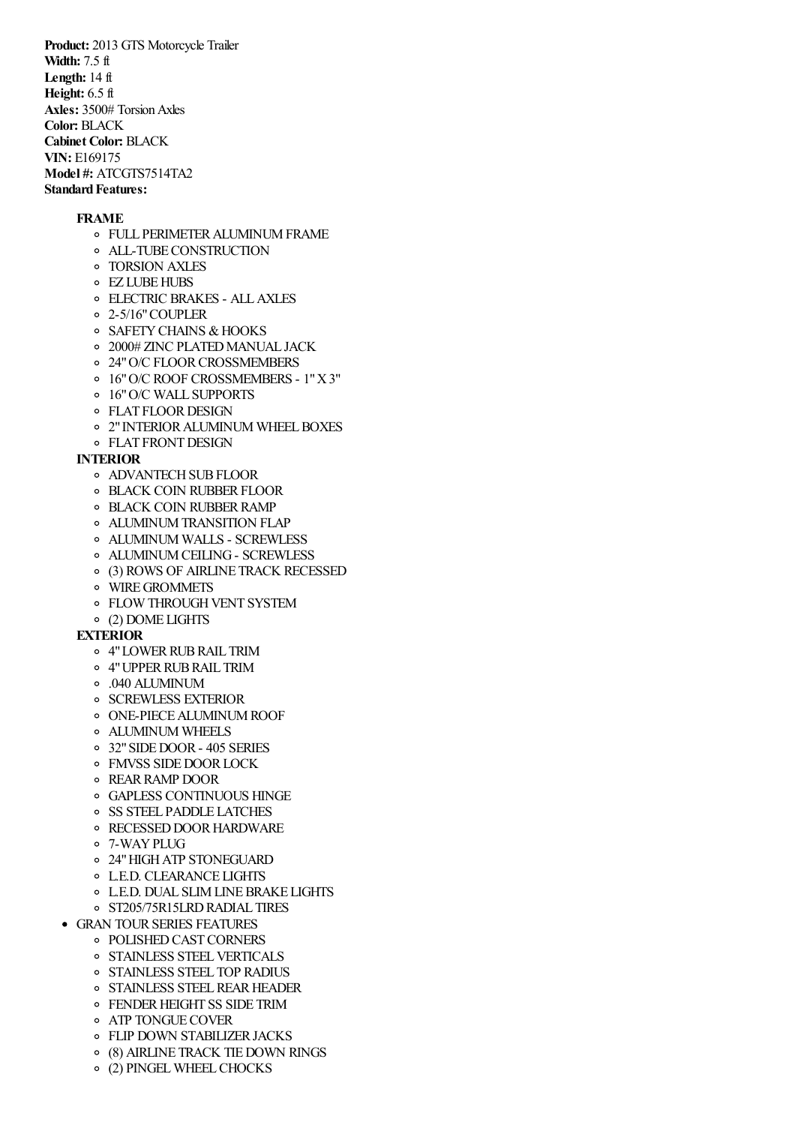**Product:** 2013 GTS Motorcycle Trailer **Width:** 7.5 ft **Length:** 14 ft **Height:** 6.5 ft **Axles:** 3500# TorsionAxles **Color:** BLACK **Cabinet Color:** BLACK **VIN:** E169175 **Model #: ATCGTS7514TA2 Standard Features:** 

#### **FRAME**

- FULL PERIMETERALUMINUMFRAME
- ALL-TUBECONSTRUCTION
- TORSION AXLES
- EZ LUBEHUBS
- ELECTRIC BRAKES ALLAXLES
- 2-5/16"COUPLER
- o SAFETY CHAINS & HOOKS
- o 2000# ZINC PLATED MANUAL JACK
- o 24" O/C FLOOR CROSSMEMBERS
- 16"O/C ROOF CROSSMEMBERS 1"X3"
- 16"O/C WALL SUPPORTS
- **O** FLAT FLOOR DESIGN
- o 2" INTERIOR ALUMINUM WHEEL BOXES
- FLAT FRONTDESIGN

# **INTERIOR**

- o ADVANTECH SUB FLOOR
- **O BLACK COIN RUBBER FLOOR**
- **O BLACK COIN RUBBER RAMP**
- ALUMINUMTRANSITION FLAP
- ALUMINUM WALLS SCREWLESS
- ALUMINUMCEILING- SCREWLESS
- (3) ROWS OF AIRLINE TRACK RECESSED
- WIREGROMMETS
- o FLOW THROUGH VENT SYSTEM
- (2) DOME LIGHTS

### **EXTERIOR**

- o 4"LOWER RUB RAIL TRIM
- 4"UPPERRUBRAIL TRIM
- .040 ALUMINUM
- **O SCREWLESS EXTERIOR**
- o ONE-PIECE ALUMINUM ROOF
- ALUMINUM WHEELS
- 32"SIDEDOOR- 405 SERIES
- **FMVSS SIDE DOOR LOCK**
- REARRAMP DOOR
- GAPLESS CONTINUOUS HINGE
- SS STEEL PADDLE LATCHES
- o RECESSED DOOR HARDWARE
- 7-WAYPLUG
- 24"HIGHATP STONEGUARD
- L.E.D. CLEARANCE LIGHTS
- L.E.D. DUAL SLIMLINEBRAKE LIGHTS
- o ST205/75R15LRD RADIAL TIRES
- GRAN TOURSERIES FEATURES
	- o POLISHED CAST CORNERS
	- o STAINLESS STEEL VERTICALS
	- o STAINLESS STEEL TOP RADIUS
	- o STAINLESS STEEL REAR HEADER
	- o FENDER HEIGHT SS SIDE TRIM
	- **O** ATP TONGUE COVER
	- o FLIP DOWN STABILIZER JACKS
	- (8) AIRLINE TRACK TIEDOWN RINGS
	- (2) PINGELWHEELCHOCKS